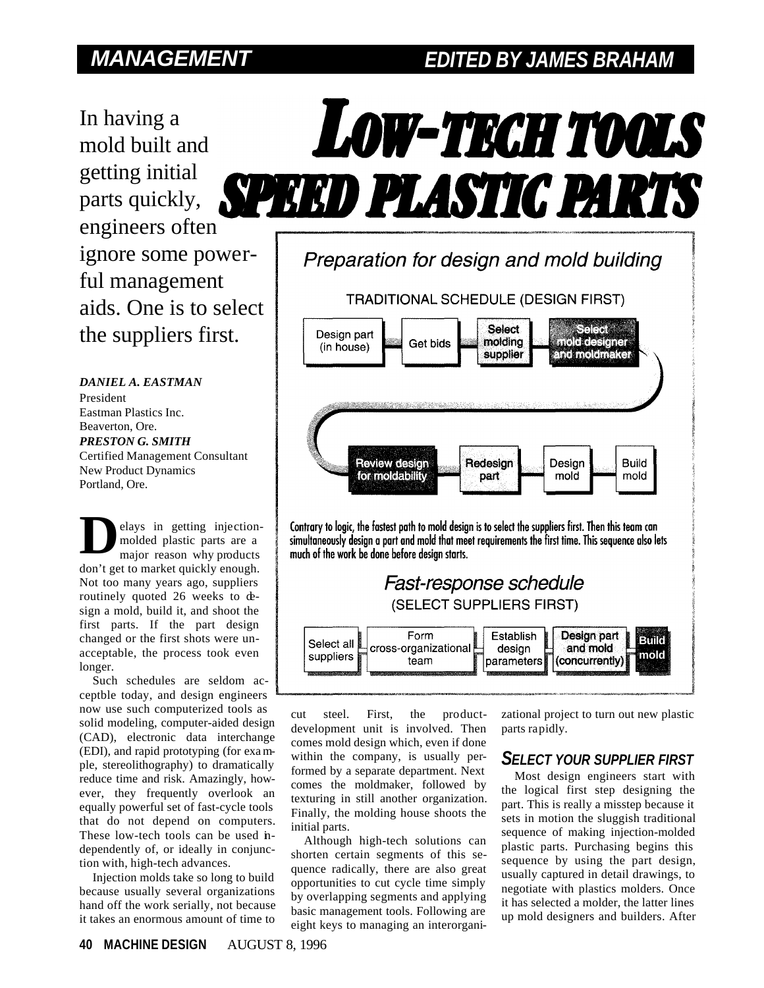# *MANAGEMENT EDITED BY JAMES BRAHAM*

In having a mold built and getting initial parts quickly, engineers often ignore some powerful management aids. One is to select the suppliers first.

*DANIEL A. EASTMAN* President Eastman Plastics Inc. Beaverton, Ore. *PRESTON G. SMITH* Certified Management Consultant New Product Dynamics Portland, Ore.

elays in getting injectionmolded plastic parts are a major reason why products don't get to market quickly enough. Not too many years ago, suppliers routinely quoted 26 weeks to design a mold, build it, and shoot the first parts. If the part design changed or the first shots were unacceptable, the process took even longer. **D**

Such schedules are seldom acceptble today, and design engineers now use such computerized tools as solid modeling, computer-aided design (CAD), electronic data interchange (EDI), and rapid prototyping (for example, stereolithography) to dramatically reduce time and risk. Amazingly, however, they frequently overlook an equally powerful set of fast-cycle tools that do not depend on computers. These low-tech tools can be used independently of, or ideally in conjunction with, high-tech advances.

Injection molds take so long to build because usually several organizations hand off the work serially, not because it takes an enormous amount of time to



**TRADITIONAL SCHEDULE (DESIGN FIRST)** 





cut steel. First, the productdevelopment unit is involved. Then comes mold design which, even if done within the company, is usually performed by a separate department. Next comes the moldmaker, followed by texturing in still another organization. Finally, the molding house shoots the initial parts.

Although high-tech solutions can shorten certain segments of this sequence radically, there are also great opportunities to cut cycle time simply by overlapping segments and applying basic management tools. Following are eight keys to managing an interorgani-

zational project to turn out new plastic parts rapidly.

## *SELECT YOUR SUPPLIER FIRST*

Most design engineers start with the logical first step designing the part. This is really a misstep because it sets in motion the sluggish traditional sequence of making injection-molded plastic parts. Purchasing begins this sequence by using the part design, usually captured in detail drawings, to negotiate with plastics molders. Once it has selected a molder, the latter lines up mold designers and builders. After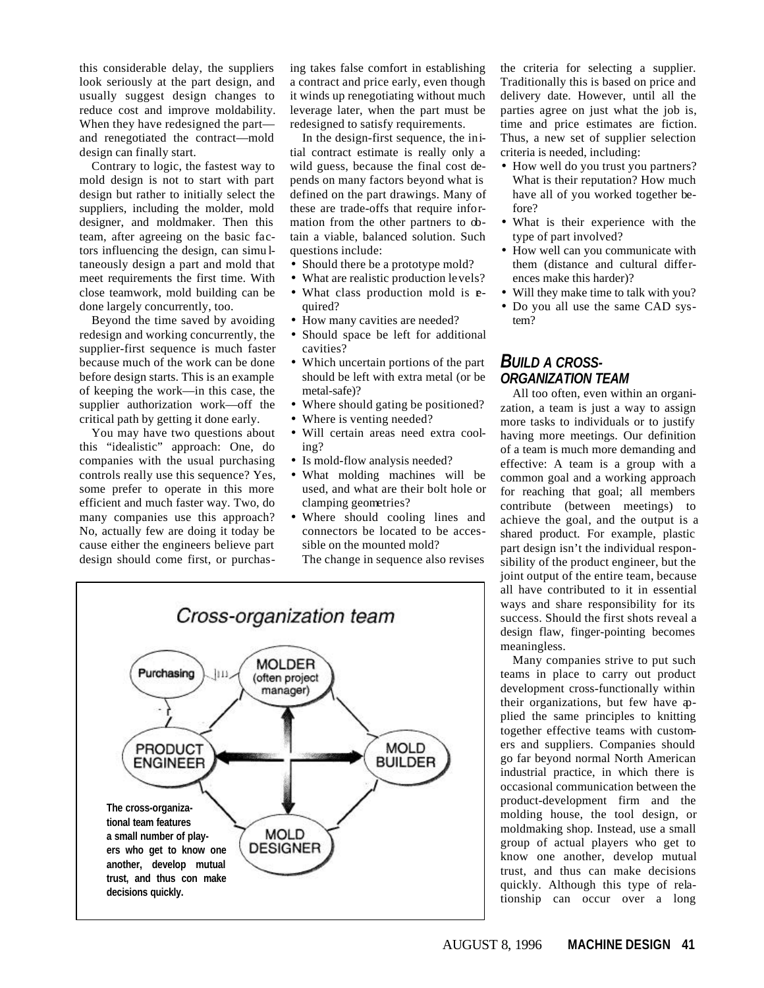this considerable delay, the suppliers look seriously at the part design, and usually suggest design changes to reduce cost and improve moldability. When they have redesigned the part and renegotiated the contract—mold design can finally start.

Contrary to logic, the fastest way to mold design is not to start with part design but rather to initially select the suppliers, including the molder, mold designer, and moldmaker. Then this team, after agreeing on the basic factors influencing the design, can simu ltaneously design a part and mold that meet requirements the first time. With close teamwork, mold building can be done largely concurrently, too.

Beyond the time saved by avoiding redesign and working concurrently, the supplier-first sequence is much faster because much of the work can be done before design starts. This is an example of keeping the work—in this case, the supplier authorization work—off the critical path by getting it done early.

You may have two questions about this "idealistic" approach: One, do companies with the usual purchasing controls really use this sequence? Yes, some prefer to operate in this more efficient and much faster way. Two, do many companies use this approach? No, actually few are doing it today be cause either the engineers believe part design should come first, or purchas-

ing takes false comfort in establishing a contract and price early, even though it winds up renegotiating without much leverage later, when the part must be redesigned to satisfy requirements.

In the design-first sequence, the initial contract estimate is really only a wild guess, because the final cost depends on many factors beyond what is defined on the part drawings. Many of these are trade-offs that require information from the other partners to obtain a viable, balanced solution. Such questions include:

- Should there be a prototype mold?
- What are realistic production levels?
- What class production mold is **e**quired?
- How many cavities are needed?
- Should space be left for additional cavities?
- Which uncertain portions of the part should be left with extra metal (or be metal-safe)?
- Where should gating be positioned?
- Where is venting needed?
- Will certain areas need extra cooling?
- Is mold-flow analysis needed?
- What molding machines will be used, and what are their bolt hole or clamping geometries?
- Where should cooling lines and connectors be located to be accessible on the mounted mold?

The change in sequence also revises



the criteria for selecting a supplier. Traditionally this is based on price and delivery date. However, until all the parties agree on just what the job is, time and price estimates are fiction. Thus, a new set of supplier selection criteria is needed, including:

- How well do you trust you partners? What is their reputation? How much have all of you worked together before?
- What is their experience with the type of part involved?
- How well can you communicate with them (distance and cultural differences make this harder)?
- Will they make time to talk with you?
- Do you all use the same CAD system?

## *BUILD A CROSS-ORGANIZATION TEAM*

All too often, even within an organization, a team is just a way to assign more tasks to individuals or to justify having more meetings. Our definition of a team is much more demanding and effective: A team is a group with a common goal and a working approach for reaching that goal; all members contribute (between meetings) to achieve the goal, and the output is a shared product. For example, plastic part design isn't the individual responsibility of the product engineer, but the joint output of the entire team, because all have contributed to it in essential ways and share responsibility for its success. Should the first shots reveal a design flaw, finger-pointing becomes meaningless.

Many companies strive to put such teams in place to carry out product development cross-functionally within their organizations, but few have applied the same principles to knitting together effective teams with customers and suppliers. Companies should go far beyond normal North American industrial practice, in which there is occasional communication between the product-development firm and the molding house, the tool design, or moldmaking shop. Instead, use a small group of actual players who get to know one another, develop mutual trust, and thus can make decisions quickly. Although this type of relationship can occur over a long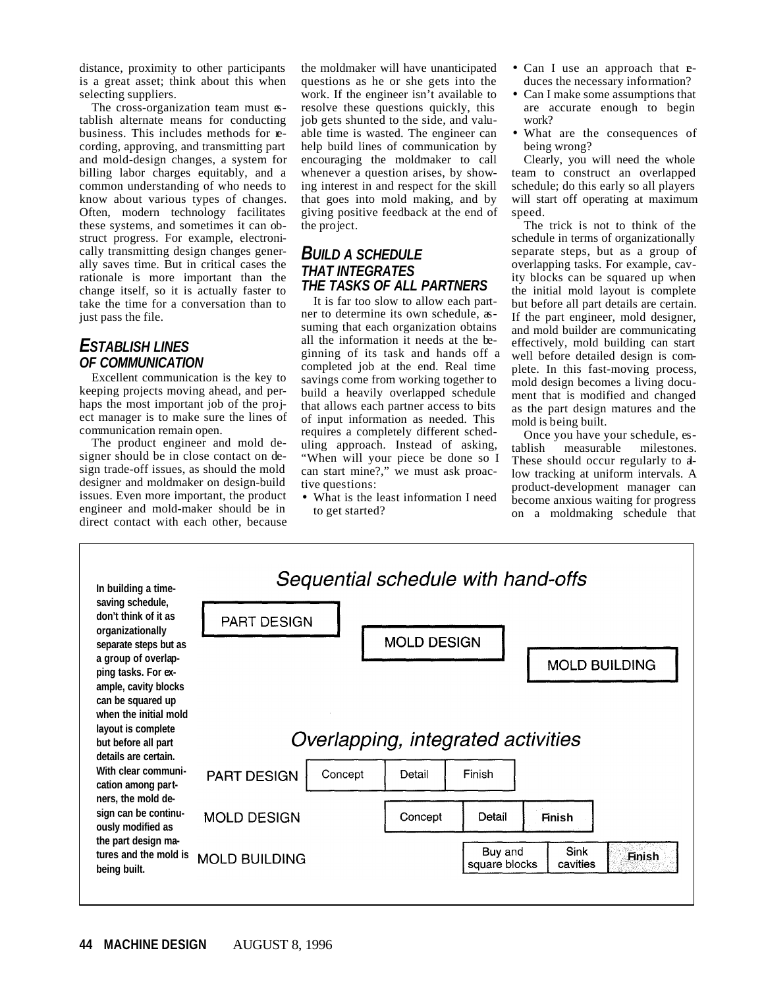distance, proximity to other participants is a great asset; think about this when selecting suppliers.

The cross-organization team must  $\infty$ tablish alternate means for conducting business. This includes methods for recording, approving, and transmitting part and mold-design changes, a system for billing labor charges equitably, and a common understanding of who needs to know about various types of changes. Often, modern technology facilitates these systems, and sometimes it can obstruct progress. For example, electronically transmitting design changes generally saves time. But in critical cases the rationale is more important than the change itself, so it is actually faster to take the time for a conversation than to just pass the file.

# *ESTABLISH LINES OF COMMUNICATION*

Excellent communication is the key to keeping projects moving ahead, and perhaps the most important job of the project manager is to make sure the lines of communication remain open.

The product engineer and mold designer should be in close contact on design trade-off issues, as should the mold designer and moldmaker on design-build issues. Even more important, the product engineer and mold-maker should be in direct contact with each other, because

the moldmaker will have unanticipated questions as he or she gets into the work. If the engineer isn't available to resolve these questions quickly, this job gets shunted to the side, and valuable time is wasted. The engineer can help build lines of communication by encouraging the moldmaker to call whenever a question arises, by showing interest in and respect for the skill that goes into mold making, and by giving positive feedback at the end of the project.

### *BUILD A SCHEDULE THAT INTEGRATES THE TASKS OF ALL PARTNERS*

It is far too slow to allow each partner to determine its own schedule, assuming that each organization obtains all the information it needs at the beginning of its task and hands off a completed job at the end. Real time savings come from working together to build a heavily overlapped schedule that allows each partner access to bits of input information as needed. This requires a completely different scheduling approach. Instead of asking, "When will your piece be done so I can start mine?," we must ask proactive questions:

• What is the least information I need to get started?

- Can I use an approach that **e**duces the necessary information?
- Can I make some assumptions that are accurate enough to begin work?
- What are the consequences of being wrong?

Clearly, you will need the whole team to construct an overlapped schedule; do this early so all players will start off operating at maximum speed.

The trick is not to think of the schedule in terms of organizationally separate steps, but as a group of overlapping tasks. For example, cavity blocks can be squared up when the initial mold layout is complete but before all part details are certain. If the part engineer, mold designer, and mold builder are communicating effectively, mold building can start well before detailed design is complete. In this fast-moving process, mold design becomes a living document that is modified and changed as the part design matures and the mold is being built.

Once you have your schedule, establish measurable milestones. These should occur regularly to alow tracking at uniform intervals. A product-development manager can become anxious waiting for progress on a moldmaking schedule that

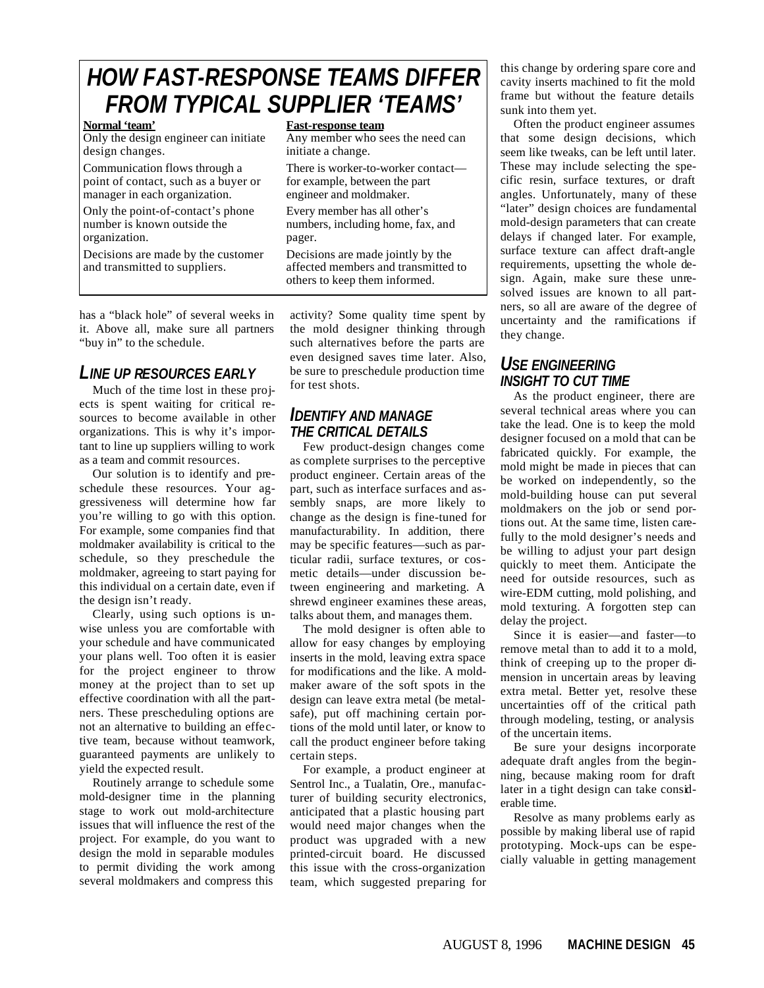# *HOW FAST-RESPONSE TEAMS DIFFER FROM TYPICAL SUPPLIER 'TEAMS'*

Only the design engineer can initiate Any member who sees the need can design changes.  $\frac{1}{2}$  initiate a change.

point of contact, such as a buyer or for example, between the part manager in each organization. engineer and moldmaker.

Only the point-of-contact's phone Every member has all other's number is known outside the numbers, including home, fax, and organization. pager.

Decisions are made by the customer Decisions are made jointly by the and transmitted to suppliers.  $\qquad$  affected members and transmitted to

### **Normal 'team' Fast-response team**

Communication flows through a There is worker-to-worker contact—

others to keep them informed.

has a "black hole" of several weeks in it. Above all, make sure all partners "buy in" to the schedule.

# *LINE UP RESOURCES EARLY*

Much of the time lost in these projects is spent waiting for critical resources to become available in other organizations. This is why it's important to line up suppliers willing to work as a team and commit resources.

Our solution is to identify and preschedule these resources. Your aggressiveness will determine how far you're willing to go with this option. For example, some companies find that moldmaker availability is critical to the schedule, so they preschedule the moldmaker, agreeing to start paying for this individual on a certain date, even if the design isn't ready.

Clearly, using such options is unwise unless you are comfortable with your schedule and have communicated your plans well. Too often it is easier for the project engineer to throw money at the project than to set up effective coordination with all the partners. These prescheduling options are not an alternative to building an effective team, because without teamwork, guaranteed payments are unlikely to yield the expected result.

Routinely arrange to schedule some mold-designer time in the planning stage to work out mold-architecture issues that will influence the rest of the project. For example, do you want to design the mold in separable modules to permit dividing the work among several moldmakers and compress this

activity? Some quality time spent by the mold designer thinking through such alternatives before the parts are even designed saves time later. Also, be sure to preschedule production time for test shots.

# *IDENTIFY AND MANAGE THE CRITICAL DETAILS*

Few product-design changes come as complete surprises to the perceptive product engineer. Certain areas of the part, such as interface surfaces and assembly snaps, are more likely to change as the design is fine-tuned for manufacturability. In addition, there may be specific features—such as particular radii, surface textures, or cosmetic details—under discussion between engineering and marketing. A shrewd engineer examines these areas, talks about them, and manages them.

The mold designer is often able to allow for easy changes by employing inserts in the mold, leaving extra space for modifications and the like. A moldmaker aware of the soft spots in the design can leave extra metal (be metalsafe), put off machining certain portions of the mold until later, or know to call the product engineer before taking certain steps.

For example, a product engineer at Sentrol Inc., a Tualatin, Ore., manufacturer of building security electronics, anticipated that a plastic housing part would need major changes when the product was upgraded with a new printed-circuit board. He discussed this issue with the cross-organization team, which suggested preparing for

this change by ordering spare core and cavity inserts machined to fit the mold frame but without the feature details sunk into them yet.

Often the product engineer assumes that some design decisions, which seem like tweaks, can be left until later. These may include selecting the specific resin, surface textures, or draft angles. Unfortunately, many of these "later" design choices are fundamental mold-design parameters that can create delays if changed later. For example, surface texture can affect draft-angle requirements, upsetting the whole design. Again, make sure these unresolved issues are known to all partners, so all are aware of the degree of uncertainty and the ramifications if they change.

# *USE ENGINEERING INSIGHT TO CUT TIME*

As the product engineer, there are several technical areas where you can take the lead. One is to keep the mold designer focused on a mold that can be fabricated quickly. For example, the mold might be made in pieces that can be worked on independently, so the mold-building house can put several moldmakers on the job or send portions out. At the same time, listen carefully to the mold designer's needs and be willing to adjust your part design quickly to meet them. Anticipate the need for outside resources, such as wire-EDM cutting, mold polishing, and mold texturing. A forgotten step can delay the project.

Since it is easier—and faster—to remove metal than to add it to a mold, think of creeping up to the proper dimension in uncertain areas by leaving extra metal. Better yet, resolve these uncertainties off of the critical path through modeling, testing, or analysis of the uncertain items.

Be sure your designs incorporate adequate draft angles from the beginning, because making room for draft later in a tight design can take considerable time.

Resolve as many problems early as possible by making liberal use of rapid prototyping. Mock-ups can be especially valuable in getting management